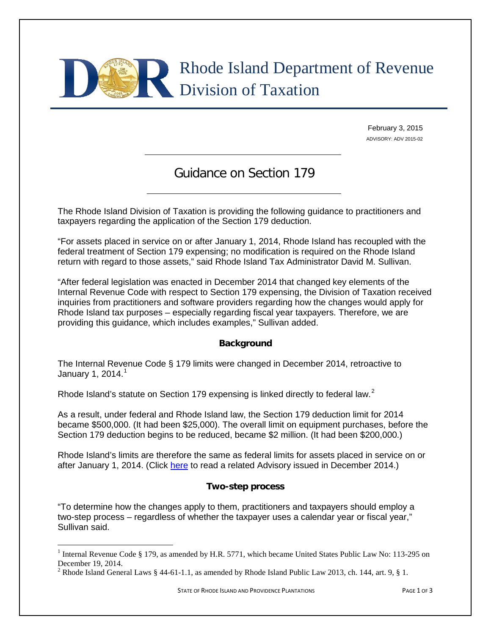

February 3, 2015 ADVISORY: ADV 2015-02

# Guidance on Section 179

The Rhode Island Division of Taxation is providing the following guidance to practitioners and taxpayers regarding the application of the Section 179 deduction.

"For assets placed in service on or after January 1, 2014, Rhode Island has recoupled with the federal treatment of Section 179 expensing; no modification is required on the Rhode Island return with regard to those assets," said Rhode Island Tax Administrator David M. Sullivan.

"After federal legislation was enacted in December 2014 that changed key elements of the Internal Revenue Code with respect to Section 179 expensing, the Division of Taxation received inquiries from practitioners and software providers regarding how the changes would apply for Rhode Island tax purposes – especially regarding fiscal year taxpayers. Therefore, we are providing this guidance, which includes examples," Sullivan added.

### **Background**

The Internal Revenue Code § 179 limits were changed in December 2014, retroactive to January [1](#page-0-0), 2014. $<sup>1</sup>$ </sup>

Rhode Island's statute on Section 179 expensing is linked directly to federal law.<sup>[2](#page-0-1)</sup>

As a result, under federal and Rhode Island law, the Section 179 deduction limit for 2014 became \$500,000. (It had been \$25,000). The overall limit on equipment purchases, before the Section 179 deduction begins to be reduced, became \$2 million. (It had been \$200,000.)

Rhode Island's limits are therefore the same as federal limits for assets placed in service on or after January 1, 2014. (Click [here](http://www.tax.ri.gov/Tax%20Website/TAX/Advisory/ADV%202014-16.pdf) to read a related Advisory issued in December 2014.)

#### **Two-step process**

"To determine how the changes apply to them, practitioners and taxpayers should employ a two-step process – regardless of whether the taxpayer uses a calendar year or fiscal year," Sullivan said.

<span id="page-0-0"></span><sup>&</sup>lt;sup>1</sup> Internal Revenue Code § 179, as amended by H.R. 5771, which became United States Public Law No: 113-295 on December 19, 2014.

<span id="page-0-1"></span><sup>&</sup>lt;sup>2</sup> Rhode Island General Laws  $\S$  44-61-1.1, as amended by Rhode Island Public Law 2013, ch. 144, art. 9,  $\S$  1.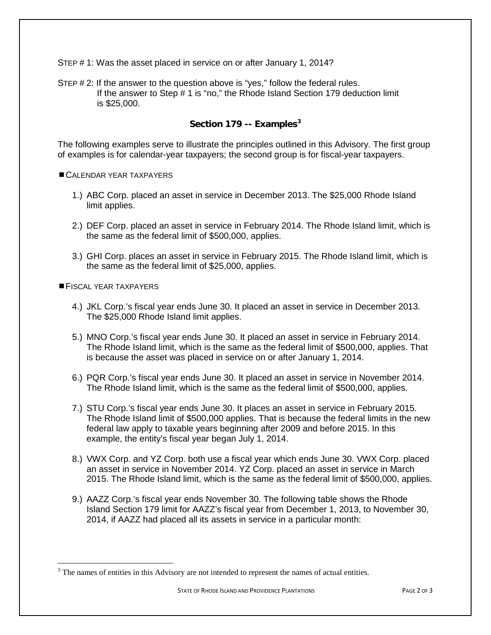STEP # 1: Was the asset placed in service on or after January 1, 2014?

STEP # 2: If the answer to the question above is "yes," follow the federal rules. If the answer to Step # 1 is "no," the Rhode Island Section 179 deduction limit is \$25,000.

## **Section 179 -- Examples[3](#page-1-0)**

The following examples serve to illustrate the principles outlined in this Advisory. The first group of examples is for calendar-year taxpayers; the second group is for fiscal-year taxpayers.

CALENDAR YEAR TAXPAYERS

- 1.) ABC Corp. placed an asset in service in December 2013. The \$25,000 Rhode Island limit applies.
- 2.) DEF Corp. placed an asset in service in February 2014. The Rhode Island limit, which is the same as the federal limit of \$500,000, applies.
- 3.) GHI Corp. places an asset in service in February 2015. The Rhode Island limit, which is the same as the federal limit of \$25,000, applies.

FISCAL YEAR TAXPAYERS

- 4.) JKL Corp.'s fiscal year ends June 30. It placed an asset in service in December 2013. The \$25,000 Rhode Island limit applies.
- 5.) MNO Corp.'s fiscal year ends June 30. It placed an asset in service in February 2014. The Rhode Island limit, which is the same as the federal limit of \$500,000, applies. That is because the asset was placed in service on or after January 1, 2014.
- 6.) PQR Corp.'s fiscal year ends June 30. It placed an asset in service in November 2014. The Rhode Island limit, which is the same as the federal limit of \$500,000, applies.
- 7.) STU Corp.'s fiscal year ends June 30. It places an asset in service in February 2015. The Rhode Island limit of \$500,000 applies. That is because the federal limits in the new federal law apply to taxable years beginning after 2009 and before 2015. In this example, the entity's fiscal year began July 1, 2014.
- 8.) VWX Corp. and YZ Corp. both use a fiscal year which ends June 30. VWX Corp. placed an asset in service in November 2014. YZ Corp. placed an asset in service in March 2015. The Rhode Island limit, which is the same as the federal limit of \$500,000, applies.
- 9.) AAZZ Corp.'s fiscal year ends November 30. The following table shows the Rhode Island Section 179 limit for AAZZ's fiscal year from December 1, 2013, to November 30, 2014, if AAZZ had placed all its assets in service in a particular month:

<span id="page-1-0"></span><sup>&</sup>lt;sup>3</sup> The names of entities in this Advisory are not intended to represent the names of actual entities.